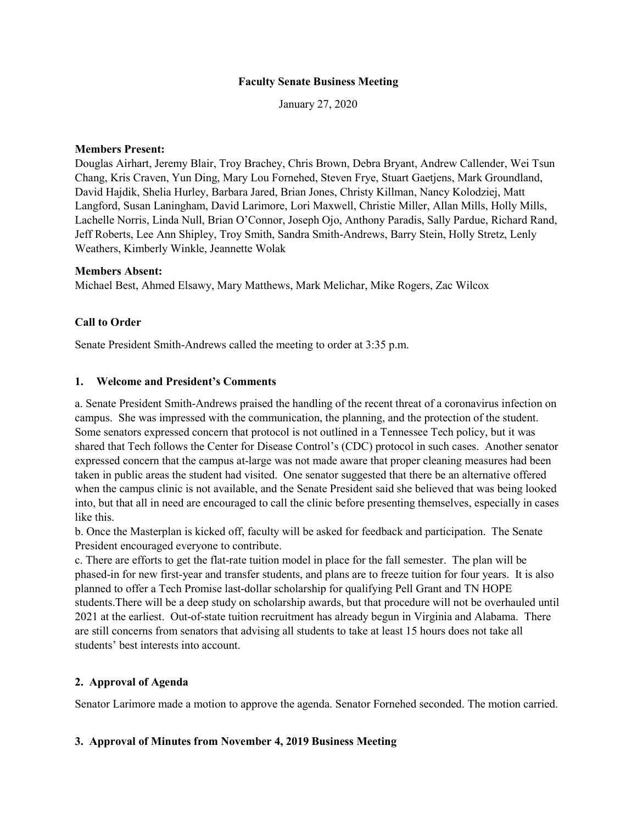#### **Faculty Senate Business Meeting**

January 27, 2020

#### **Members Present:**

Douglas Airhart, Jeremy Blair, Troy Brachey, Chris Brown, Debra Bryant, Andrew Callender, Wei Tsun Chang, Kris Craven, Yun Ding, Mary Lou Fornehed, Steven Frye, Stuart Gaetjens, Mark Groundland, David Hajdik, Shelia Hurley, Barbara Jared, Brian Jones, Christy Killman, Nancy Kolodziej, Matt Langford, Susan Laningham, David Larimore, Lori Maxwell, Christie Miller, Allan Mills, Holly Mills, Lachelle Norris, Linda Null, Brian O'Connor, Joseph Ojo, Anthony Paradis, Sally Pardue, Richard Rand, Jeff Roberts, Lee Ann Shipley, Troy Smith, Sandra Smith-Andrews, Barry Stein, Holly Stretz, Lenly Weathers, Kimberly Winkle, Jeannette Wolak

#### **Members Absent:**

Michael Best, Ahmed Elsawy, Mary Matthews, Mark Melichar, Mike Rogers, Zac Wilcox

#### **Call to Order**

Senate President Smith-Andrews called the meeting to order at 3:35 p.m.

#### **1. Welcome and President's Comments**

a. Senate President Smith-Andrews praised the handling of the recent threat of a coronavirus infection on campus. She was impressed with the communication, the planning, and the protection of the student. Some senators expressed concern that protocol is not outlined in a Tennessee Tech policy, but it was shared that Tech follows the Center for Disease Control's (CDC) protocol in such cases. Another senator expressed concern that the campus at-large was not made aware that proper cleaning measures had been taken in public areas the student had visited. One senator suggested that there be an alternative offered when the campus clinic is not available, and the Senate President said she believed that was being looked into, but that all in need are encouraged to call the clinic before presenting themselves, especially in cases like this.

b. Once the Masterplan is kicked off, faculty will be asked for feedback and participation. The Senate President encouraged everyone to contribute.

c. There are efforts to get the flat-rate tuition model in place for the fall semester. The plan will be phased-in for new first-year and transfer students, and plans are to freeze tuition for four years. It is also planned to offer a Tech Promise last-dollar scholarship for qualifying Pell Grant and TN HOPE students.There will be a deep study on scholarship awards, but that procedure will not be overhauled until 2021 at the earliest. Out-of-state tuition recruitment has already begun in Virginia and Alabama. There are still concerns from senators that advising all students to take at least 15 hours does not take all students' best interests into account.

#### **2. Approval of Agenda**

Senator Larimore made a motion to approve the agenda. Senator Fornehed seconded. The motion carried.

#### **3. Approval of Minutes from November 4, 2019 Business Meeting**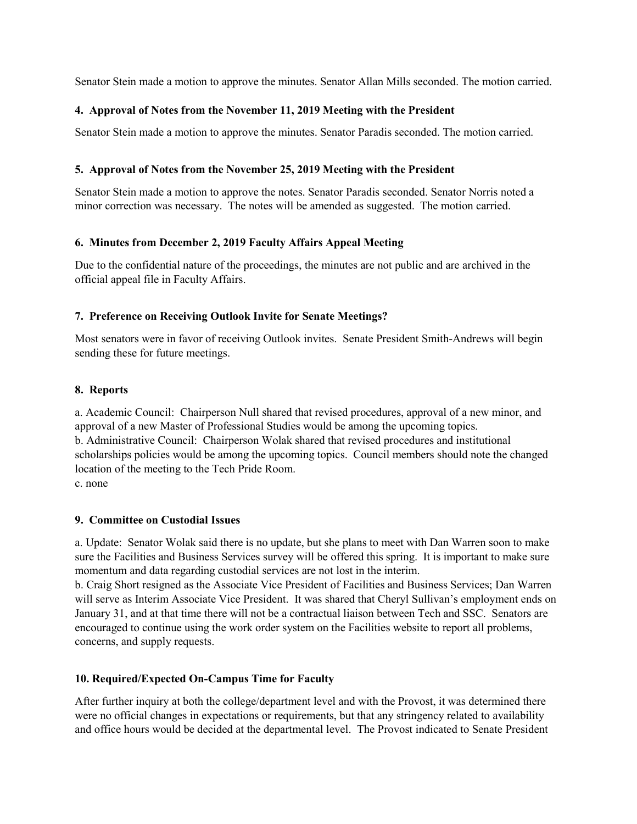Senator Stein made a motion to approve the minutes. Senator Allan Mills seconded. The motion carried.

#### **4. Approval of Notes from the November 11, 2019 Meeting with the President**

Senator Stein made a motion to approve the minutes. Senator Paradis seconded. The motion carried.

#### **5. Approval of Notes from the November 25, 2019 Meeting with the President**

Senator Stein made a motion to approve the notes. Senator Paradis seconded. Senator Norris noted a minor correction was necessary. The notes will be amended as suggested. The motion carried.

#### **6. Minutes from December 2, 2019 Faculty Affairs Appeal Meeting**

Due to the confidential nature of the proceedings, the minutes are not public and are archived in the official appeal file in Faculty Affairs.

### **7. Preference on Receiving Outlook Invite for Senate Meetings?**

Most senators were in favor of receiving Outlook invites. Senate President Smith-Andrews will begin sending these for future meetings.

#### **8. Reports**

a. Academic Council: Chairperson Null shared that revised procedures, approval of a new minor, and approval of a new Master of Professional Studies would be among the upcoming topics. b. Administrative Council: Chairperson Wolak shared that revised procedures and institutional scholarships policies would be among the upcoming topics. Council members should note the changed location of the meeting to the Tech Pride Room. c. none

#### **9. Committee on Custodial Issues**

a. Update: Senator Wolak said there is no update, but she plans to meet with Dan Warren soon to make sure the Facilities and Business Services survey will be offered this spring. It is important to make sure momentum and data regarding custodial services are not lost in the interim.

b. Craig Short resigned as the Associate Vice President of Facilities and Business Services; Dan Warren will serve as Interim Associate Vice President. It was shared that Cheryl Sullivan's employment ends on January 31, and at that time there will not be a contractual liaison between Tech and SSC. Senators are encouraged to continue using the work order system on the Facilities website to report all problems, concerns, and supply requests.

#### **10. Required/Expected On-Campus Time for Faculty**

After further inquiry at both the college/department level and with the Provost, it was determined there were no official changes in expectations or requirements, but that any stringency related to availability and office hours would be decided at the departmental level. The Provost indicated to Senate President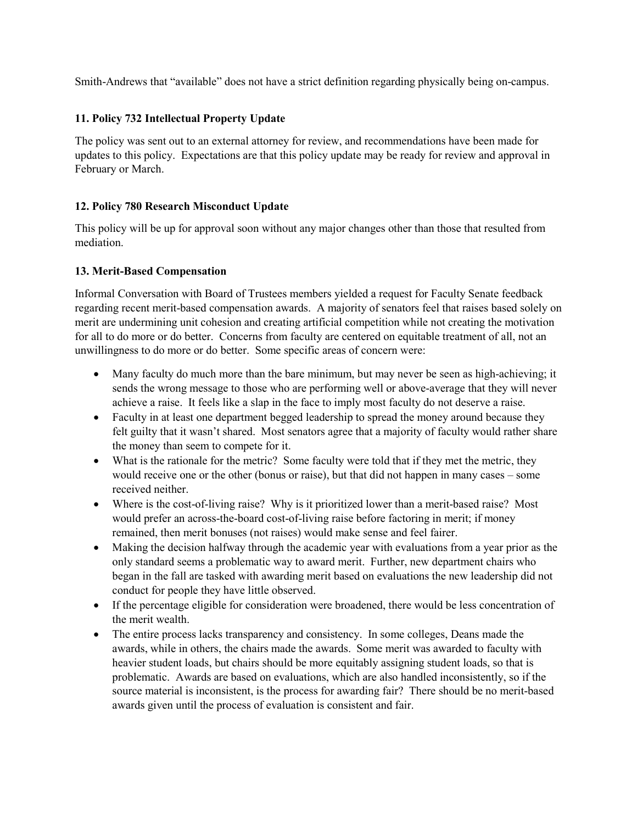Smith-Andrews that "available" does not have a strict definition regarding physically being on-campus.

### **11. Policy 732 Intellectual Property Update**

The policy was sent out to an external attorney for review, and recommendations have been made for updates to this policy. Expectations are that this policy update may be ready for review and approval in February or March.

### **12. Policy 780 Research Misconduct Update**

This policy will be up for approval soon without any major changes other than those that resulted from mediation.

### **13. Merit-Based Compensation**

Informal Conversation with Board of Trustees members yielded a request for Faculty Senate feedback regarding recent merit-based compensation awards. A majority of senators feel that raises based solely on merit are undermining unit cohesion and creating artificial competition while not creating the motivation for all to do more or do better. Concerns from faculty are centered on equitable treatment of all, not an unwillingness to do more or do better. Some specific areas of concern were:

- Many faculty do much more than the bare minimum, but may never be seen as high-achieving; it sends the wrong message to those who are performing well or above-average that they will never achieve a raise. It feels like a slap in the face to imply most faculty do not deserve a raise.
- Faculty in at least one department begged leadership to spread the money around because they felt guilty that it wasn't shared. Most senators agree that a majority of faculty would rather share the money than seem to compete for it.
- What is the rationale for the metric? Some faculty were told that if they met the metric, they would receive one or the other (bonus or raise), but that did not happen in many cases – some received neither.
- Where is the cost-of-living raise? Why is it prioritized lower than a merit-based raise? Most would prefer an across-the-board cost-of-living raise before factoring in merit; if money remained, then merit bonuses (not raises) would make sense and feel fairer.
- Making the decision halfway through the academic year with evaluations from a year prior as the only standard seems a problematic way to award merit. Further, new department chairs who began in the fall are tasked with awarding merit based on evaluations the new leadership did not conduct for people they have little observed.
- If the percentage eligible for consideration were broadened, there would be less concentration of the merit wealth.
- The entire process lacks transparency and consistency. In some colleges, Deans made the awards, while in others, the chairs made the awards. Some merit was awarded to faculty with heavier student loads, but chairs should be more equitably assigning student loads, so that is problematic. Awards are based on evaluations, which are also handled inconsistently, so if the source material is inconsistent, is the process for awarding fair? There should be no merit-based awards given until the process of evaluation is consistent and fair.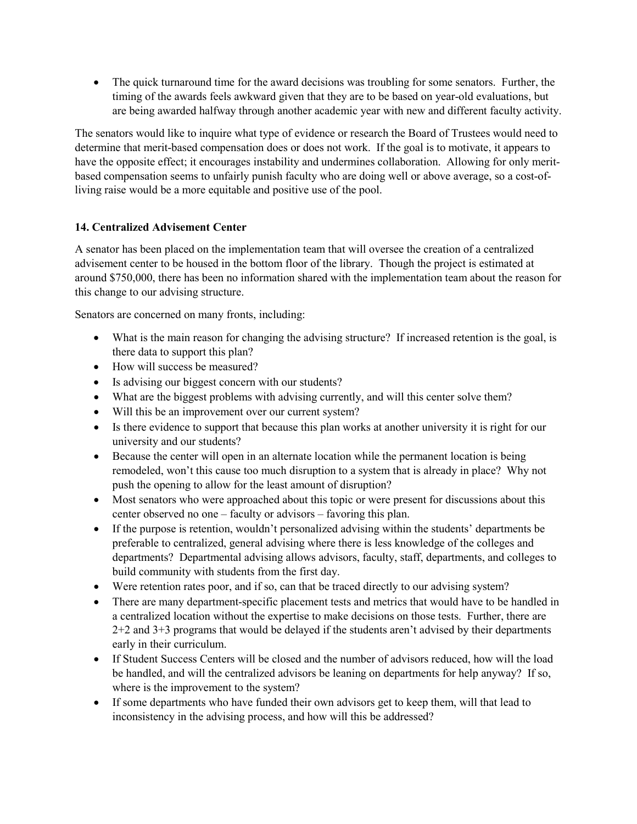• The quick turnaround time for the award decisions was troubling for some senators. Further, the timing of the awards feels awkward given that they are to be based on year-old evaluations, but are being awarded halfway through another academic year with new and different faculty activity.

The senators would like to inquire what type of evidence or research the Board of Trustees would need to determine that merit-based compensation does or does not work. If the goal is to motivate, it appears to have the opposite effect; it encourages instability and undermines collaboration. Allowing for only meritbased compensation seems to unfairly punish faculty who are doing well or above average, so a cost-ofliving raise would be a more equitable and positive use of the pool.

## **14. Centralized Advisement Center**

A senator has been placed on the implementation team that will oversee the creation of a centralized advisement center to be housed in the bottom floor of the library. Though the project is estimated at around \$750,000, there has been no information shared with the implementation team about the reason for this change to our advising structure.

Senators are concerned on many fronts, including:

- What is the main reason for changing the advising structure? If increased retention is the goal, is there data to support this plan?
- How will success be measured?
- Is advising our biggest concern with our students?
- What are the biggest problems with advising currently, and will this center solve them?
- Will this be an improvement over our current system?
- Is there evidence to support that because this plan works at another university it is right for our university and our students?
- Because the center will open in an alternate location while the permanent location is being remodeled, won't this cause too much disruption to a system that is already in place? Why not push the opening to allow for the least amount of disruption?
- Most senators who were approached about this topic or were present for discussions about this center observed no one – faculty or advisors – favoring this plan.
- If the purpose is retention, wouldn't personalized advising within the students' departments be preferable to centralized, general advising where there is less knowledge of the colleges and departments? Departmental advising allows advisors, faculty, staff, departments, and colleges to build community with students from the first day.
- Were retention rates poor, and if so, can that be traced directly to our advising system?
- There are many department-specific placement tests and metrics that would have to be handled in a centralized location without the expertise to make decisions on those tests. Further, there are 2+2 and 3+3 programs that would be delayed if the students aren't advised by their departments early in their curriculum.
- If Student Success Centers will be closed and the number of advisors reduced, how will the load be handled, and will the centralized advisors be leaning on departments for help anyway? If so, where is the improvement to the system?
- If some departments who have funded their own advisors get to keep them, will that lead to inconsistency in the advising process, and how will this be addressed?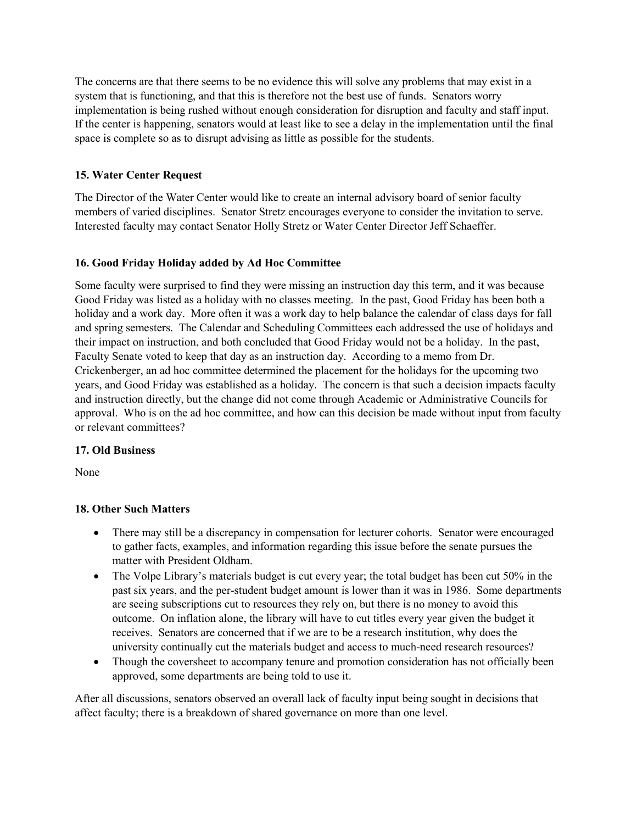The concerns are that there seems to be no evidence this will solve any problems that may exist in a system that is functioning, and that this is therefore not the best use of funds. Senators worry implementation is being rushed without enough consideration for disruption and faculty and staff input. If the center is happening, senators would at least like to see a delay in the implementation until the final space is complete so as to disrupt advising as little as possible for the students.

# **15. Water Center Request**

The Director of the Water Center would like to create an internal advisory board of senior faculty members of varied disciplines. Senator Stretz encourages everyone to consider the invitation to serve. Interested faculty may contact Senator Holly Stretz or Water Center Director Jeff Schaeffer.

# **16. Good Friday Holiday added by Ad Hoc Committee**

Some faculty were surprised to find they were missing an instruction day this term, and it was because Good Friday was listed as a holiday with no classes meeting. In the past, Good Friday has been both a holiday and a work day. More often it was a work day to help balance the calendar of class days for fall and spring semesters. The Calendar and Scheduling Committees each addressed the use of holidays and their impact on instruction, and both concluded that Good Friday would not be a holiday. In the past, Faculty Senate voted to keep that day as an instruction day. According to a memo from Dr. Crickenberger, an ad hoc committee determined the placement for the holidays for the upcoming two years, and Good Friday was established as a holiday. The concern is that such a decision impacts faculty and instruction directly, but the change did not come through Academic or Administrative Councils for approval. Who is on the ad hoc committee, and how can this decision be made without input from faculty or relevant committees?

## **17. Old Business**

None

## **18. Other Such Matters**

- There may still be a discrepancy in compensation for lecturer cohorts. Senator were encouraged to gather facts, examples, and information regarding this issue before the senate pursues the matter with President Oldham.
- The Volpe Library's materials budget is cut every year; the total budget has been cut 50% in the past six years, and the per-student budget amount is lower than it was in 1986. Some departments are seeing subscriptions cut to resources they rely on, but there is no money to avoid this outcome. On inflation alone, the library will have to cut titles every year given the budget it receives. Senators are concerned that if we are to be a research institution, why does the university continually cut the materials budget and access to much-need research resources?
- Though the coversheet to accompany tenure and promotion consideration has not officially been approved, some departments are being told to use it.

After all discussions, senators observed an overall lack of faculty input being sought in decisions that affect faculty; there is a breakdown of shared governance on more than one level.